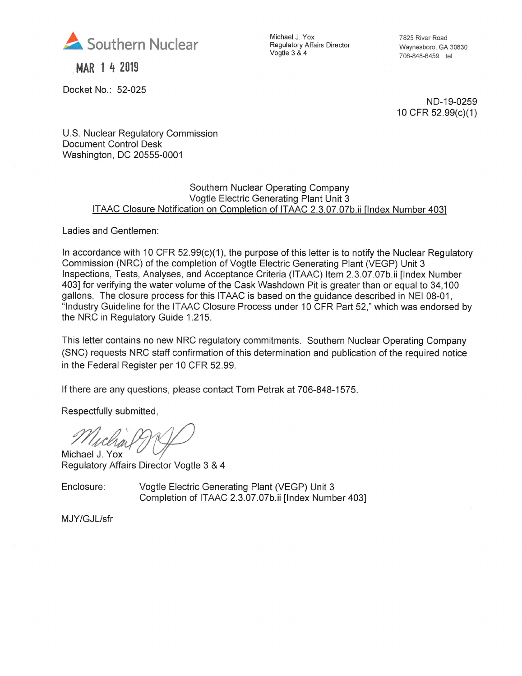

MAR 1 4 2019

Docket No.: 52-025

Michael J. Yox Regulatory Affairs Director Vogtle 3 & 4

7825 River Road Waynesboro, GA 30830 706-848-6459 tel

ND-19-0259 10CFR 52.99(c)(1)

U.S. Nuclear Regulatory Commission Document Control Desk Washington, DC 20555-0001

#### Southern Nuclear Operating Company Vogtle Electric Generating Plant Unit 3 ITAAC Closure Notification on Completion of ITAAC 2.3.07.07b.ii Tlndex Number 4031

Ladies and Gentlemen:

In accordance with 10 CFR  $52.99(c)(1)$ , the purpose of this letter is to notify the Nuclear Regulatory Commission (NRC) of the completion of Vogtle Electric Generating Plant (VEGP) Unit 3 Inspections, Tests, Analyses, and Acceptance Criteria (ITAAC) Item 2.3.07.07b.ii [Index Number 403] for verifying the water volume of the Cask Washdown Pit is greater than or equal to 34,100 gallons. The closure process for this ITAAC is based on the guidance described in NEI 08-01, "Industry Guideline for the ITAAC Closure Process under 10 CFR Part 52," which was endorsed by the NRC in Regulatory Guide 1.215.

This letter contains no new NRC regulatory commitments. Southern Nuclear Operating Company (SNC) requests NRC staff confirmation of this determination and publication of the required notice in the Federal Register per 10 CFR 52.99.

If there are any questions, please contact Tom Petrak at 706-848-1575.

Respectfully submitted,

Michael J. Yox

Regulatory Affairs Director Vogtle 3 & 4

Enclosure: Vogtle Electric Generating Plant (VEGP) Unit 3 Completion of ITAAC 2.3.07.07b.ii [Index Number 403]

MJY/GJL/sfr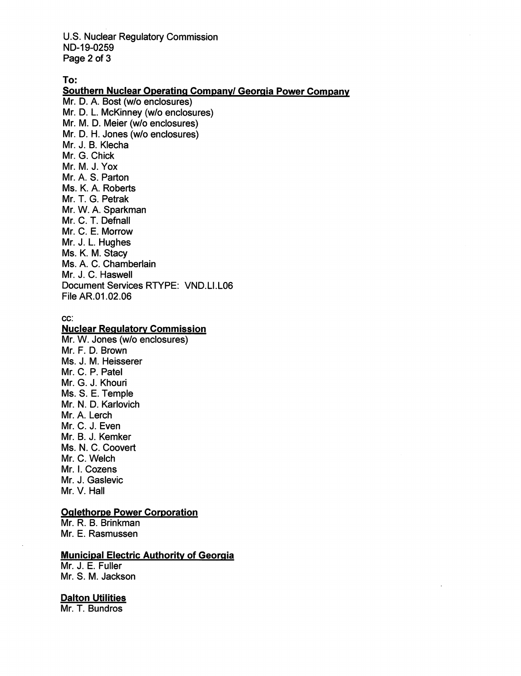U.S. Nuclear Regulatory Commission ND-19-0259 Page 2 of 3

To:

Southern Nuclear Operating Company/ Georgia Power Company Mr. D. A. Bost (w/o enclosures) M . D. L. McKinney (w/o enclosures) M . M. D. Meier (w/o enclosures) M . D. H. Jones (w/o enclosures) Mr. J. B. Klecha Mr. G. Chic<mark>k</mark> Mr. M. J. Y<mark>ox</mark> Mr. A. S. Parton Ms. K. A. Roberts Mr. T. G. Petrak Mr. W. A. Sparkman Mr. C. T. Defnall Mr. C. E. Morrow Mr. J. L. Hughes Ms. K. M. Stacy Ms. A. C. Chamberlain Mr. J. C. Haswell Document Services RTYPE: VND.LI.L06 File AR.01.02.06

#### cc:

#### **Nuclear Regulatory Commission**

Mr. W. Jones (w/o enclosures) Mr. F. D. Brown Ms. J. M. Heisserer Mr. C. P. Patel Mr. G. J. Khouri Ms. S. E. Temple Mr. N. D. Karlovich Mr. A. Lerch Mr. C. J. Even Mr. B. J. Kemker Ms. N. C. Coovert Mr. C. Welch Mr. I. Cozens Mr. J. Gaslevic Mr. V. Hall

# **Oglethorpe Power Corporation**

Mr. R. B. Brinkman Mr. E. Rasmussen

# Municipal Electric Authority of Georgia

Mr. J. E. Fuller Mr. S. M. Jackson

#### Dalton Utilities

Mr. T. Bundros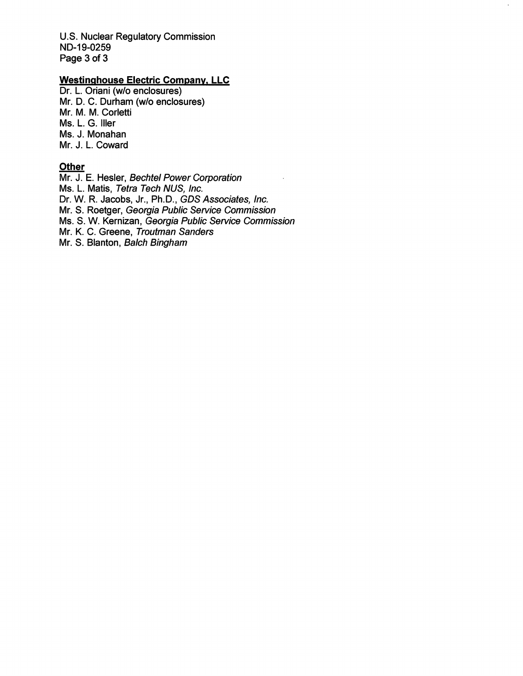U.S. Nuclear Regulatory Commission ND-19-0259 Page 3 of 3

# Westinghouse Electric Company, LLC

Dr. L. Oriani (w/o enclosures) Mr. D. C. Durham (w/o enclosures) Mr. M. M. Corletti Ms. L. G. Iller Ms. J. Monahan Mr. J. L. Coward

# **Other**

Mr. J. E. Hesler, Bechtel Power Corporation Ms. L. Matis, Tetra Tech NUS, Inc. Dr. W. R. Jacobs, Jr., Ph.D., GDS Associates, Inc. Mr. S. Roetger, Georgia Public Service Commission Ms. 8. W. Kernizan, Georgia Public Service Commission Mr. K. C. Greene, Troutman Sanders Mr. 8. Blanton, Baich Bingham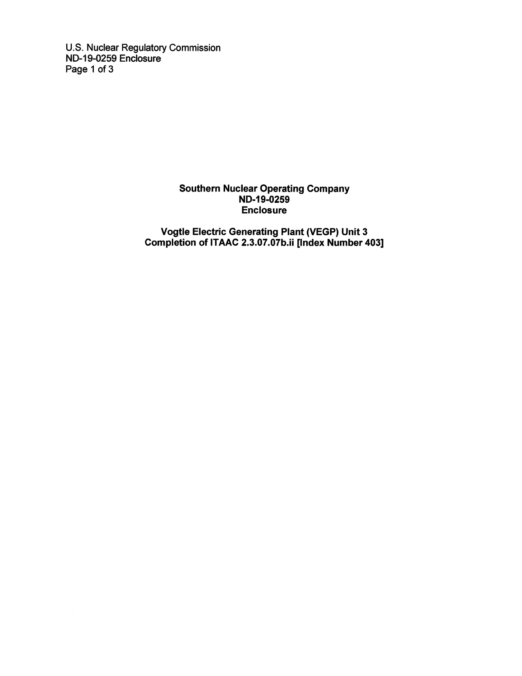U.S. Nuclear Regulatory Commission ND-19-0259 Enclosure Page 1 of 3

# Southern Nuclear Operating Company ND-19-0259 Enclosure

Vogtle Electric Generating Plant (VEGP) Unit 3 Completion of ITAAC 2.3.07.07b.ii [Index Number 403]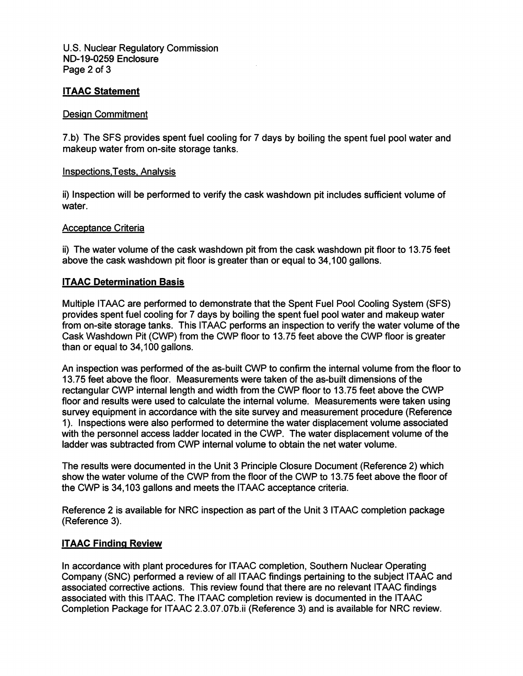U.S. Nuclear Regulatory Commission ND-19-0259 Enclosure Page 2 of 3

# ITAAC Statement

# Design Commitment

7.b) The SFS provides spent fuel cooling for 7 days by boiling the spent fuel pool water and makeup water from on-site storage tanks.

# **Inspections, Tests, Analysis**

ii) Inspection will be performed to verify the cask washdown pit includes sufficient volume of water.

# Acceptance Criteria

ii) The water volume of the cask washdown pit from the cask washdown pit floor to 13.75 feet above the cask washdown pit floor is greater than or equal to 34,100 gallons.

# ITAAC Determination Basis

Multiple ITAAC are performed to demonstrate that the Spent Fuel Pool Cooling System (SFS) provides spent fuel cooling for 7 days by boiling the spent fuel pool water and makeup water from on-site storage tanks. This ITAAC performs an inspection to verify the water volume of the Cask Washdown Pit (CWP) from the CWP floor to 13.75 feet above the CWP floor is greater than or equal to 34,100 gallons.

An inspection was performed of the as-built CWP to confirm the internal volume from the floor to 13.75 feet above the floor. Measurements were taken of the as-built dimensions of the rectangular CWP internal length and width from the CWP floor to 13.75 feet above the CWP floor and results were used to calculate the internal volume. Measurements were taken using survey equipment in accordance with the site survey and measurement procedure (Reference 1). Inspections were also performed to determine the water displacement volume associated with the personnel access ladder located in the CWP. The water displacement volume of the ladder was subtracted from CWP internal volume to obtain the net water volume.

The results were documented in the Unit 3 Principle Closure Document (Reference 2) which show the water volume of the CWP from the floor of the CWP to 13.75 feet above the floor of the CWP is 34,103 gallons and meets the ITAAC acceptance criteria.

Reference 2 is available for NRC inspection as part of the Unit 3 ITAAC completion package (Reference 3).

# ITAAC Finding Review

In accordance with plant procedures for ITAAC completion. Southern Nuclear Operating Company (SNC) performed a review of all ITAAC findings pertaining to the subject ITAAC and associated corrective actions. This review found that there are no relevant ITAAC findings associated with this ITAAC. The ITAAC completion review is documented in the ITAAC Completion Package for ITAAC 2.3.07.07b.ii (Reference 3) and is available for NRC review.